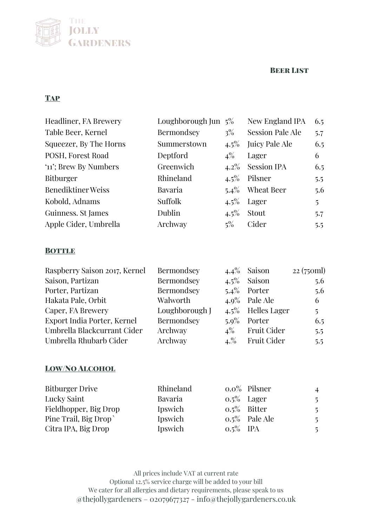## Beer List



## **TAP**

| Headliner, FA Brewery  | Loughborough Jun $5\%$ |         | New England IPA         | 6.5            |
|------------------------|------------------------|---------|-------------------------|----------------|
| Table Beer, Kernel     | Bermondsey             | $3\%$   | <b>Session Pale Ale</b> | 5.7            |
| Squeezer, By The Horns | Summerstown            | $4.5\%$ | Juicy Pale Ale          | 6.5            |
| POSH, Forest Road      | Deptford               | $4\%$   | Lager                   | 6              |
| '11'; Brew By Numbers  | Greenwich              | $4.2\%$ | <b>Session IPA</b>      | 6.5            |
| <b>Bitburger</b>       | Rhineland              | $4.5\%$ | Pilsner                 | 5.5            |
| Benediktiner Weiss     | Bavaria                | $5.4\%$ | Wheat Beer              | 5.6            |
| Kobold, Adnams         | Suffolk                | $4.5\%$ | Lager                   | $\overline{5}$ |
| Guinness. St James     | Dublin                 | $4.5\%$ | Stout                   | 5.7            |
| Apple Cider, Umbrella  | Archway                | $5\%$   | Cider                   | 5.5            |

## **BOTTLE**

| Raspberry Saison 2017, Kernel | Bermondsey     |         | $4.4\%$ Saison       | 22 (750ml)     |
|-------------------------------|----------------|---------|----------------------|----------------|
| Saison, Partizan              | Bermondsey     |         | $4.5\%$ Saison       | 5.6            |
| Porter, Partizan              | Bermondsey     |         | $5.4\%$ Porter       | 5.6            |
| Hakata Pale, Orbit            | Walworth       |         | $4.9\%$ Pale Ale     | 6              |
| Caper, FA Brewery             | Loughborough J |         | $4.5\%$ Helles Lager | $\overline{5}$ |
| Export India Porter, Kernel   | Bermondsey     | $5.9\%$ | Porter               | 6.5            |
| Umbrella Blackcurrant Cider   | Archway        | $4\%$   | Fruit Cider          | 5.5            |
| Umbrella Rhubarb Cider        | Archway        | 4.%     | <b>Fruit Cider</b>   | 5.5            |

## Low/No Alcohol

| <b>Bitburger Drive</b> | Rhineland |             | $0.0\%$ Pilsner  | $\overline{4}$ |
|------------------------|-----------|-------------|------------------|----------------|
| Lucky Saint            | Bavaria   |             | $0.5\%$ Lager    | -5.            |
| Fieldhopper, Big Drop  | Ipswich   |             | $0.5\%$ Bitter   | -5             |
| Pine Trail, Big Drop   | Ipswich   |             | $0.5\%$ Pale Ale | -5             |
| Citra IPA, Big Drop    | Ipswich   | $0.5\%$ IPA |                  | .5             |

All prices include VAT at current rate Optional 12.5% service charge will be added to your bill We cater for all allergies and dietary requirements, please speak to us @thejollygardeners – 02079677327 - info@thejollygardeners.co.uk